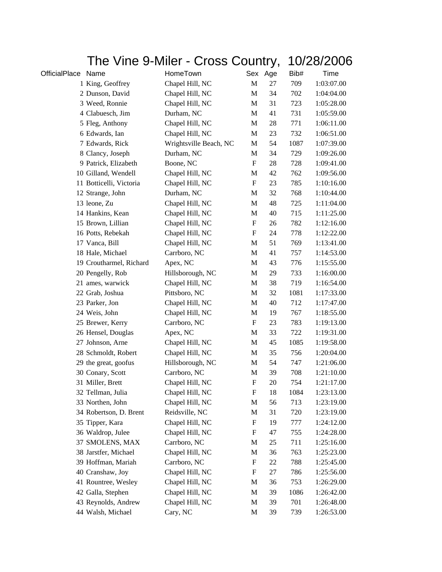| The Vine 9-Miler - Cross Country, |                         |                        |                           | 10/28/2006 |      |            |
|-----------------------------------|-------------------------|------------------------|---------------------------|------------|------|------------|
| <b>OfficialPlace</b>              | Name                    | HomeTown               |                           | Sex Age    | Bib# | Time       |
|                                   | 1 King, Geoffrey        | Chapel Hill, NC        | $\mathbf M$               | 27         | 709  | 1:03:07.00 |
|                                   | 2 Dunson, David         | Chapel Hill, NC        | $\mathbf M$               | 34         | 702  | 1:04:04.00 |
|                                   | 3 Weed, Ronnie          | Chapel Hill, NC        | M                         | 31         | 723  | 1:05:28.00 |
|                                   | 4 Clabuesch, Jim        | Durham, NC             | M                         | 41         | 731  | 1:05:59.00 |
|                                   | 5 Fleg, Anthony         | Chapel Hill, NC        | M                         | 28         | 771  | 1:06:11.00 |
|                                   | 6 Edwards, Ian          | Chapel Hill, NC        | M                         | 23         | 732  | 1:06:51.00 |
|                                   | 7 Edwards, Rick         | Wrightsville Beach, NC | M                         | 54         | 1087 | 1:07:39.00 |
|                                   | 8 Clancy, Joseph        | Durham, NC             | M                         | 34         | 729  | 1:09:26.00 |
|                                   | 9 Patrick, Elizabeth    | Boone, NC              | F                         | 28         | 728  | 1:09:41.00 |
|                                   | 10 Gilland, Wendell     | Chapel Hill, NC        | M                         | 42         | 762  | 1:09:56.00 |
|                                   | 11 Botticelli, Victoria | Chapel Hill, NC        | $\mathbf F$               | 23         | 785  | 1:10:16.00 |
|                                   | 12 Strange, John        | Durham, NC             | M                         | 32         | 768  | 1:10:44.00 |
|                                   | 13 leone, Zu            | Chapel Hill, NC        | M                         | 48         | 725  | 1:11:04.00 |
|                                   | 14 Hankins, Kean        | Chapel Hill, NC        | M                         | 40         | 715  | 1:11:25.00 |
|                                   | 15 Brown, Lillian       | Chapel Hill, NC        | $\mathbf F$               | 26         | 782  | 1:12:16.00 |
|                                   | 16 Potts, Rebekah       | Chapel Hill, NC        | F                         | 24         | 778  | 1:12:22.00 |
|                                   | 17 Vanca, Bill          | Chapel Hill, NC        | M                         | 51         | 769  | 1:13:41.00 |
|                                   | 18 Hale, Michael        | Carrboro, NC           | M                         | 41         | 757  | 1:14:53.00 |
|                                   | 19 Croutharmel, Richard | Apex, NC               | M                         | 43         | 776  | 1:15:55.00 |
|                                   | 20 Pengelly, Rob        | Hillsborough, NC       | $\mathbf M$               | 29         | 733  | 1:16:00.00 |
|                                   | 21 ames, warwick        | Chapel Hill, NC        | M                         | 38         | 719  | 1:16:54.00 |
|                                   | 22 Grab, Joshua         | Pittsboro, NC          | M                         | 32         | 1081 | 1:17:33.00 |
|                                   | 23 Parker, Jon          | Chapel Hill, NC        | M                         | 40         | 712  | 1:17:47.00 |
|                                   | 24 Weis, John           | Chapel Hill, NC        | M                         | 19         | 767  | 1:18:55.00 |
|                                   | 25 Brewer, Kerry        | Carrboro, NC           | $\mathbf F$               | 23         | 783  | 1:19:13.00 |
|                                   | 26 Hensel, Douglas      | Apex, NC               | M                         | 33         | 722  | 1:19:31.00 |
|                                   | 27 Johnson, Arne        | Chapel Hill, NC        | M                         | 45         | 1085 | 1:19:58.00 |
|                                   | 28 Schmoldt, Robert     | Chapel Hill, NC        | M                         | 35         | 756  | 1:20:04.00 |
|                                   | 29 the great, goofus    | Hillsborough, NC       | M                         | 54         | 747  | 1:21:06.00 |
|                                   | 30 Conary, Scott        | Carrboro, NC           | $\mathbf M$               | 39         | 708  | 1:21:10.00 |
|                                   | 31 Miller, Brett        | Chapel Hill, NC        | F                         | 20         | 754  | 1:21:17.00 |
|                                   | 32 Tellman, Julia       | Chapel Hill, NC        | F                         | 18         | 1084 | 1:23:13.00 |
|                                   | 33 Northen, John        | Chapel Hill, NC        | M                         | 56         | 713  | 1:23:19.00 |
|                                   | 34 Robertson, D. Brent  | Reidsville, NC         | M                         | 31         | 720  | 1:23:19.00 |
|                                   | 35 Tipper, Kara         | Chapel Hill, NC        | $\boldsymbol{\mathrm{F}}$ | 19         | 777  | 1:24:12.00 |
|                                   | 36 Waldrop, Julee       | Chapel Hill, NC        | F                         | 47         | 755  | 1:24:28.00 |
|                                   | 37 SMOLENS, MAX         | Carrboro, NC           | M                         | 25         | 711  | 1:25:16.00 |
|                                   | 38 Jarstfer, Michael    | Chapel Hill, NC        | M                         | 36         | 763  | 1:25:23.00 |
|                                   | 39 Hoffman, Mariah      | Carrboro, NC           | F                         | 22         | 788  | 1:25:45.00 |
|                                   | 40 Cranshaw, Joy        | Chapel Hill, NC        | F                         | 27         | 786  | 1:25:56.00 |
|                                   | 41 Rountree, Wesley     | Chapel Hill, NC        | M                         | 36         | 753  | 1:26:29.00 |
|                                   | 42 Galla, Stephen       | Chapel Hill, NC        | M                         | 39         | 1086 | 1:26:42.00 |
|                                   | 43 Reynolds, Andrew     | Chapel Hill, NC        | M                         | 39         | 701  | 1:26:48.00 |
|                                   | 44 Walsh, Michael       | Cary, NC               | M                         | 39         | 739  | 1:26:53.00 |